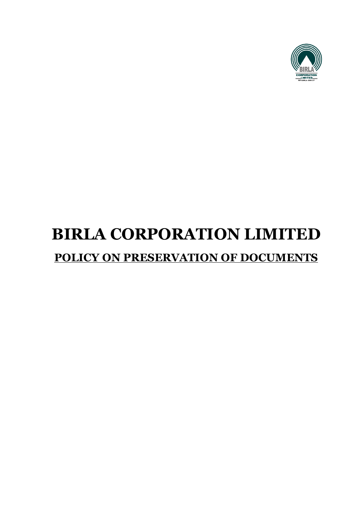

# **BIRLA CORPORATION LIMITED POLICY ON PRESERVATION OF DOCUMENTS**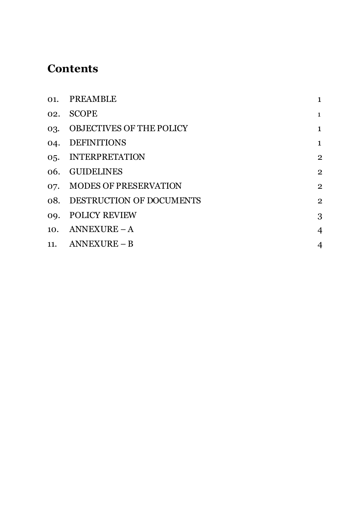# **Contents**

|     | 01. PREAMBLE                 | $\mathbf{1}$   |
|-----|------------------------------|----------------|
| 02. | <b>SCOPE</b>                 | $\mathbf{1}$   |
|     | 03. OBJECTIVES OF THE POLICY | $\mathbf{1}$   |
| 04. | <b>DEFINITIONS</b>           | $\mathbf{1}$   |
|     | 05. INTERPRETATION           | $\overline{2}$ |
|     | 06. GUIDELINES               | $\overline{2}$ |
|     | 07. MODES OF PRESERVATION    | $\overline{2}$ |
|     | 08. DESTRUCTION OF DOCUMENTS | $\overline{2}$ |
| 09. | <b>POLICY REVIEW</b>         | 3              |
|     | 10. ANNEXURE $-A$            | 4              |
|     | 11. ANNEXURE $- B$           | 4              |
|     |                              |                |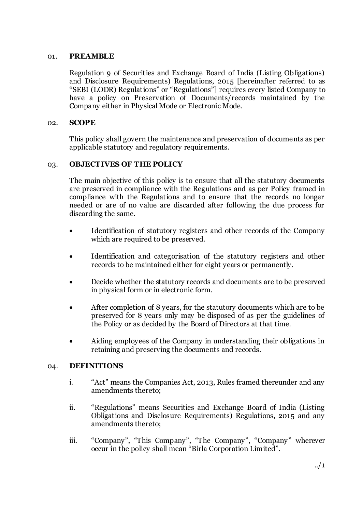#### 01. **PREAMBLE**

Regulation 9 of Securities and Exchange Board of India (Listing Obligations) and Disclosure Requirements) Regulations, 2015 [hereinafter referred to as "SEBI (LODR) Regulations" or "Regulations"] requires every listed Company to have a policy on Preservation of Documents/records maintained by the Company either in Physical Mode or Electronic Mode.

#### 02. **SCOPE**

This policy shall govern the maintenance and preservation of documents as per applicable statutory and regulatory requirements.

#### 03. **OBJECTIVES OF THE POLICY**

The main objective of this policy is to ensure that all the statutory documents are preserved in compliance with the Regulations and as per Policy framed in compliance with the Regulations and to ensure that the records no longer needed or are of no value are discarded after following the due process for discarding the same.

- Identification of statutory registers and other records of the Company which are required to be preserved.
- Identification and categorisation of the statutory registers and other records to be maintained either for eight years or permanently.
- Decide whether the statutory records and documents are to be preserved in physical form or in electronic form.
- After completion of 8 years, for the statutory documents which are to be preserved for 8 years only may be disposed of as per the guidelines of the Policy or as decided by the Board of Directors at that time.
- Aiding employees of the Company in understanding their obligations in retaining and preserving the documents and records.

#### 04. **DEFINITIONS**

- i. "Act" means the Companies Act, 2013, Rules framed thereunder and any amendments thereto;
- ii. "Regulations" means Securities and Exchange Board of India (Listing Obligations and Disclosure Requirements) Regulations, 2015 and any amendments thereto;
- iii. "Company", "This Company", "The Company", "Company" wherever occur in the policy shall mean "Birla Corporation Limited".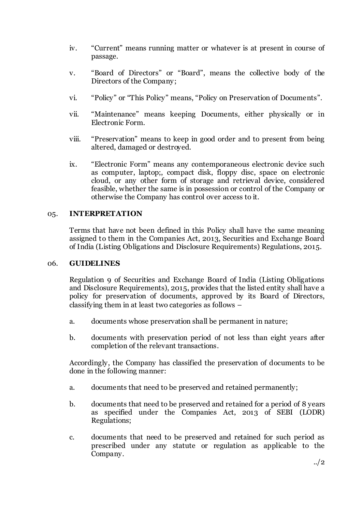- iv. "Current" means running matter or whatever is at present in course of passage.
- v. "Board of Directors" or "Board", means the collective body of the Directors of the Company;
- vi. "Policy" or "This Policy" means, "Policy on Preservation of Documents".
- vii. "Maintenance" means keeping Documents, either physically or in Electronic Form.
- viii. "Preservation" means to keep in good order and to present from being altered, damaged or destroyed.
- ix. "Electronic Form" means any contemporaneous electronic device such as computer, laptop;, compact disk, floppy disc, space on electronic cloud, or any other form of storage and retrieval device, considered feasible, whether the same is in possession or control of the Company or otherwise the Company has control over access to it.

#### 05. **INTERPRETATION**

Terms that have not been defined in this Policy shall have the same meaning assigned to them in the Companies Act, 2013, Securities and Exchange Board of India (Listing Obligations and Disclosure Requirements) Regulations, 2015.

#### 06. **GUIDELINES**

Regulation 9 of Securities and Exchange Board of India (Listing Obligations and Disclosure Requirements), 2015, provides that the listed entity shall have a policy for preservation of documents, approved by its Board of Directors, classifying them in at least two categories as follows –

- a. documents whose preservation shall be permanent in nature;
- b. documents with preservation period of not less than eight years after completion of the relevant transactions.

Accordingly, the Company has classified the preservation of documents to be done in the following manner:

- a. documents that need to be preserved and retained permanently;
- b. documents that need to be preserved and retained for a period of 8 years as specified under the Companies Act, 2013 of SEBI (LODR) Regulations;
- c. documents that need to be preserved and retained for such period as prescribed under any statute or regulation as applicable to the Company.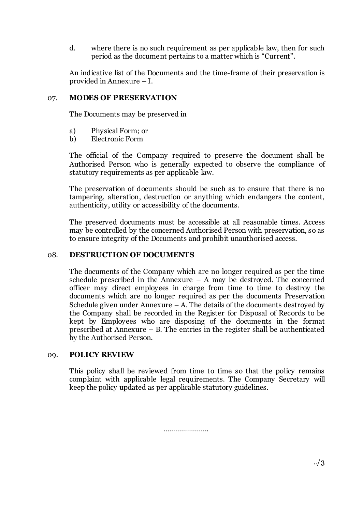d. where there is no such requirement as per applicable law, then for such period as the document pertains to a matter which is "Current".

An indicative list of the Documents and the time-frame of their preservation is provided in Annexure – I.

#### 07. **MODES OF PRESERVATION**

The Documents may be preserved in

- a) Physical Form; or
- b) Electronic Form

The official of the Company required to preserve the document shall be Authorised Person who is generally expected to observe the compliance of statutory requirements as per applicable law.

The preservation of documents should be such as to ensure that there is no tampering, alteration, destruction or anything which endangers the content, authenticity, utility or accessibility of the documents.

The preserved documents must be accessible at all reasonable times. Access may be controlled by the concerned Authorised Person with preservation, so as to ensure integrity of the Documents and prohibit unauthorised access.

#### 08. **DESTRUCTION OF DOCUMENTS**

The documents of the Company which are no longer required as per the time schedule prescribed in the Annexure  $-$  A may be destroyed. The concerned officer may direct employees in charge from time to time to destroy the documents which are no longer required as per the documents Preservation Schedule given under Annexure  $-$  A. The details of the documents destroyed by the Company shall be recorded in the Register for Disposal of Records to be kept by Employees who are disposing of the documents in the format prescribed at Annexure – B. The entries in the register shall be authenticated by the Authorised Person.

#### 09. **POLICY REVIEW**

This policy shall be reviewed from time to time so that the policy remains complaint with applicable legal requirements. The Company Secretary will keep the policy updated as per applicable statutory guidelines.

…………………..